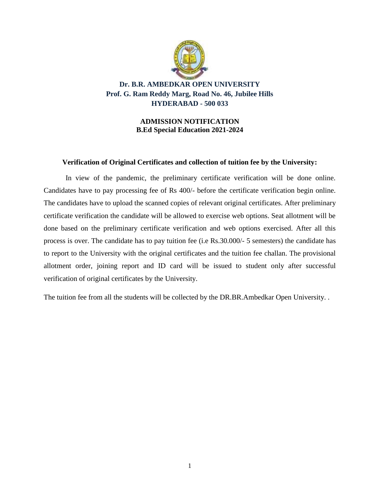

**Dr. B.R. AMBEDKAR OPEN UNIVERSITY Prof. G. Ram Reddy Marg, Road No. 46, Jubilee Hills HYDERABAD - 500 033**

> **ADMISSION NOTIFICATION B.Ed Special Education 2021-2024**

#### **Verification of Original Certificates and collection of tuition fee by the University:**

In view of the pandemic, the preliminary certificate verification will be done online. Candidates have to pay processing fee of Rs 400/- before the certificate verification begin online. The candidates have to upload the scanned copies of relevant original certificates. After preliminary certificate verification the candidate will be allowed to exercise web options. Seat allotment will be done based on the preliminary certificate verification and web options exercised. After all this process is over. The candidate has to pay tuition fee (i.e Rs.30.000/- 5 semesters) the candidate has to report to the University with the original certificates and the tuition fee challan. The provisional allotment order, joining report and ID card will be issued to student only after successful verification of original certificates by the University.

The tuition fee from all the students will be collected by the DR.BR.Ambedkar Open University. .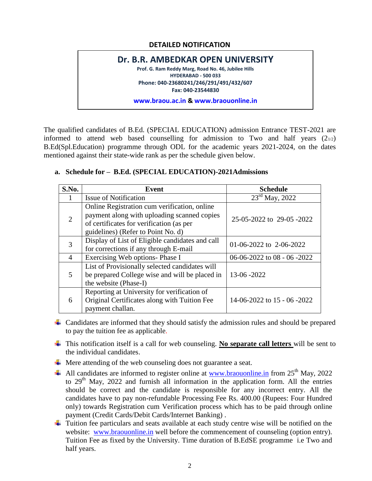## **DETAILED NOTIFICATION**

# **Dr. B.R. AMBEDKAR OPEN UNIVERSITY Prof. G. Ram Reddy Marg, Road No. 46, Jubilee Hills HYDERABAD - 500 033 Phone: 040-23680241/246/291/491/432/607 Fax: 040-23544830 www.braou.ac.in & www.braouonline.in**

The qualified candidates of B.Ed. (SPECIAL EDUCATION) admission Entrance TEST-2021 are informed to attend web based counselling for admission to Two and half years  $(2_{1/2})$ B.Ed(Spl.Education) programme through ODL for the academic years 2021-2024, on the dates mentioned against their state-wide rank as per the schedule given below.

| S.No.          | <b>Event</b>                                                                                                                                                                  | <b>Schedule</b>              |  |  |
|----------------|-------------------------------------------------------------------------------------------------------------------------------------------------------------------------------|------------------------------|--|--|
|                | <b>Issue of Notification</b>                                                                                                                                                  | $23rd$ May, $2022$           |  |  |
| $\overline{2}$ | Online Registration cum verification, online<br>payment along with uploading scanned copies<br>of certificates for verification (as per<br>guidelines) (Refer to Point No. d) | 25-05-2022 to 29-05-2022     |  |  |
| 3              | Display of List of Eligible candidates and call<br>for corrections if any through E-mail                                                                                      | 01-06-2022 to 2-06-2022      |  |  |
| 4              | Exercising Web options- Phase I                                                                                                                                               | 06-06-2022 to 08 - 06 - 2022 |  |  |
| 5              | List of Provisionally selected candidates will<br>be prepared College wise and will be placed in<br>the website (Phase-I)                                                     | 13-06 -2022                  |  |  |
| 6              | Reporting at University for verification of<br>Original Certificates along with Tuition Fee<br>payment challan.                                                               | 14-06-2022 to 15 - 06 -2022  |  |  |

### **a. Schedule for – B.Ed. (SPECIAL EDUCATION)-2021Admissions**

- $\overline{\phantom{a}}$  Candidates are informed that they should satisfy the admission rules and should be prepared to pay the tuition fee as applicable.
- This notification itself is a call for web counseling. **No separate call letters** will be sent to the individual candidates.
- **↓** Mere attending of the web counseling does not guarantee a seat.
- $\triangleq$  All candidates are informed to register online at [www.braouonline.in](http://www.braouonline.in/) from 25<sup>th</sup> May, 2022 to 29<sup>th</sup> May, 2022 and furnish all information in the application form. All the entries should be correct and the candidate is responsible for any incorrect entry. All the candidates have to pay non-refundable Processing Fee Rs. 400.00 (Rupees: Four Hundred only) towards Registration cum Verification process which has to be paid through online payment (Credit Cards/Debit Cards/Internet Banking) .
- $\overline{\phantom{a}}$  Tuition fee particulars and seats available at each study centre wise will be notified on the website: [www.braouonline.in](http://www.braouonline.in/) well before the commencement of counseling (option entry). Tuition Fee as fixed by the University. Time duration of B.EdSE programme i.e Two and half years.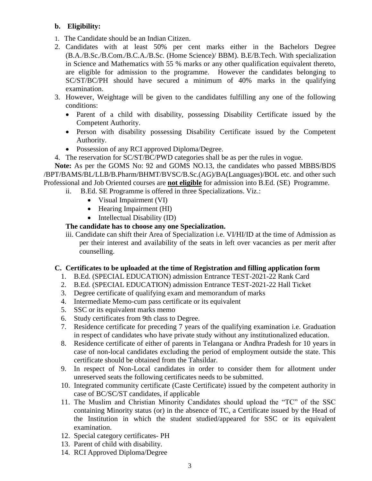## **b. Eligibility:**

- 1. The Candidate should be an Indian Citizen.
- 2. Candidates with at least 50% per cent marks either in the Bachelors Degree (B.A./B.Sc./B.Com./B.C.A./B.Sc. (Home Science)/ BBM). B.E/B.Tech. With specialization in Science and Mathematics with 55 % marks or any other qualification equivalent thereto, are eligible for admission to the programme. However the candidates belonging to SC/ST/BC/PH should have secured a minimum of 40% marks in the qualifying examination.
- 3. However, Weightage will be given to the candidates fulfilling any one of the following conditions:
	- Parent of a child with disability, possessing Disability Certificate issued by the Competent Authority.
	- Person with disability possessing Disability Certificate issued by the Competent Authority.
	- Possession of any RCI approved Diploma/Degree.
- 4. The reservation for SC/ST/BC/PWD categories shall be as per the rules in vogue.

**Note:** As per the GOMS No: 92 and GOMS NO.13, the candidates who passed MBBS/BDS /BPT/BAMS/BL/LLB/B.Pharm/BHMT/BVSC/B.Sc.(AG)/BA(Languages)/BOL etc. and other such Professional and Job Oriented courses are **not eligible** for admission into B.Ed. (SE) Programme.

- ii. B.Ed. SE Programme is offered in three Specializations. Viz.:
	- Visual Impairment (VI)
	- Hearing Impairment (HI)
	- $\bullet$  Intellectual Disability (ID)

## **The candidate has to choose any one Specialization.**

iii. Candidate can shift their Area of Specialization i.e. VI/HI/ID at the time of Admission as per their interest and availability of the seats in left over vacancies as per merit after counselling.

## **C. Certificates to be uploaded at the time of Registration and filling application form**

- 1. B.Ed. (SPECIAL EDUCATION) admission Entrance TEST-2021-22 Rank Card
- 2. B.Ed. (SPECIAL EDUCATION) admission Entrance TEST-2021-22 Hall Ticket
- 3. Degree certificate of qualifying exam and memorandum of marks
- 4. Intermediate Memo-cum pass certificate or its equivalent
- 5. SSC or its equivalent marks memo
- 6. Study certificates from 9th class to Degree.
- 7. Residence certificate for preceding 7 years of the qualifying examination i.e. Graduation in respect of candidates who have private study without any institutionalized education.
- 8. Residence certificate of either of parents in Telangana or Andhra Pradesh for 10 years in case of non-local candidates excluding the period of employment outside the state. This certificate should be obtained from the Tahsildar.
- 9. In respect of Non-Local candidates in order to consider them for allotment under unreserved seats the following certificates needs to be submitted.
- 10. Integrated community certificate (Caste Certificate) issued by the competent authority in case of BC/SC/ST candidates, if applicable
- 11. The Muslim and Christian Minority Candidates should upload the "TC" of the SSC containing Minority status (or) in the absence of TC, a Certificate issued by the Head of the Institution in which the student studied/appeared for SSC or its equivalent examination.
- 12. Special category certificates- PH
- 13. Parent of child with disability.
- 14. RCI Approved Diploma/Degree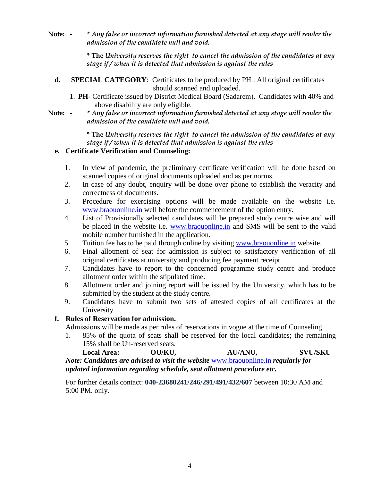**Note: - \*** *Any false or incorrect information furnished detected at any stage will render the admission of the candidate null and void.*

> **\* The** *University reserves the right to cancel the admission of the candidates at any stage if / when it is detected that admission is against the rules*

- **d. SPECIAL CATEGORY**: Certificates to be produced by PH : All original certificates should scanned and uploaded.
	- 1. **PH** Certificate issued by District Medical Board (Sadarem). Candidates with 40% and above disability are only eligible.
- **Note: \*** *Any false or incorrect information furnished detected at any stage will render the admission of the candidate null and void.*

**\* The** *University reserves the right to cancel the admission of the candidates at any stage if / when it is detected that admission is against the rules*

## **e. Certificate Verification and Counseling:**

- 1. In view of pandemic, the preliminary certificate verification will be done based on scanned copies of original documents uploaded and as per norms.
- 2. In case of any doubt, enquiry will be done over phone to establish the veracity and correctness of documents.
- 3. Procedure for exercising options will be made available on the website i.e. [www.braouonline.in](http://www.braouonline.in/) well before the commencement of the option entry.
- 4. List of Provisionally selected candidates will be prepared study centre wise and will be placed in the website i.e. [www.braouonline.in](http://www.braouonline.in/) and SMS will be sent to the valid mobile number furnished in the application.
- 5. Tuition fee has to be paid through online by visiting [www.braouonline.in](http://www.braouonline.in/) website.
- 6. Final allotment of seat for admission is subject to satisfactory verification of all original certificates at university and producing fee payment receipt.
- 7. Candidates have to report to the concerned programme study centre and produce allotment order within the stipulated time.
- 8. Allotment order and joining report will be issued by the University, which has to be submitted by the student at the study centre.
- 9. Candidates have to submit two sets of attested copies of all certificates at the University.

#### **f. Rules of Reservation for admission.**

Admissions will be made as per rules of reservations in vogue at the time of Counseling.

1. 85% of the quota of seats shall be reserved for the local candidates; the remaining 15% shall be Un-reserved seats.

**Local Area: OU/KU, AU/ANU, SVU/SKU** *Note: Candidates are advised to visit the website* [www.braouonline.in](http://www.braouonline.in/) *regularly for updated information regarding schedule, seat allotment procedure etc.*

For further details contact: **040-23680241/246/291/491/432/607** between 10:30 AM and 5:00 PM. only.